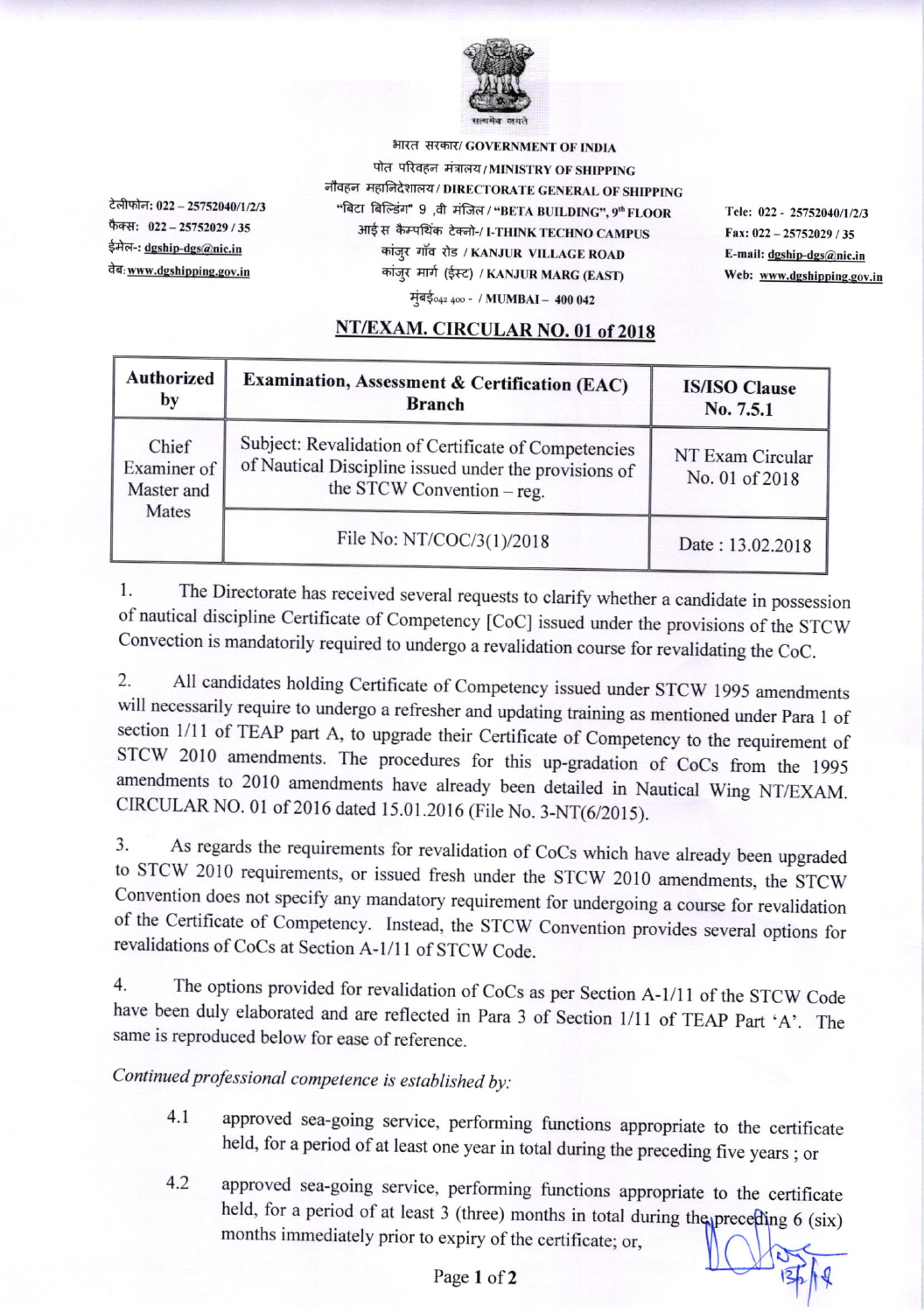

टेलीफोन: 022 - 25752040/1/2/3 फैक्स: 022-25752029 / 35 ईमेल-: <u>dgship-dgs@nic.in</u> वेब: www.dgshipping.gov.in

भारत सरकार/ GOVERNMENT OF INDIA पोत परिवहन मंत्रालय/MINISTRY OF SHIPPING नौवहन महानिदेशालय / DIRECTORATE GENERAL OF SHIPPING "बिटा बिल्डिंग" 9 ,वी मंजिल / "BETA BUILDING", 9" FLOOR आई स कैम्पथिंक टेक्नो-/ I-THINK TECHNO CAMPUS कांज़्र गॉव रोड / KANJUR VILLAGE ROAD कांज़्र मार्ग (ईस्ट) / KANJUR MARG (EAST)

मुंबई<sub>042 400</sub> - / MUMBAI - 400 042

Tele: 022 - 25752040/1/2/3 Fax:  $022 - 25752029 / 35$ E-mail:  $d$ gship-dgs@nic.in Web: www.dgshipping.gov.in

## NT/EXAM. CIRCULAR NO. 01 of 2018

| <b>Authorized</b><br>by                     | Examination, Assessment & Certification (EAC)<br><b>Branch</b>                                                                              | <b>IS/ISO Clause</b><br>No. 7.5.1  |
|---------------------------------------------|---------------------------------------------------------------------------------------------------------------------------------------------|------------------------------------|
| Chief<br>Examiner of<br>Master and<br>Mates | Subject: Revalidation of Certificate of Competencies<br>of Nautical Discipline issued under the provisions of<br>the STCW Convention – reg. | NT Exam Circular<br>No. 01 of 2018 |
|                                             | File No: NT/COC/3(1)/2018                                                                                                                   | Date: 13.02.2018                   |

The Directorate has received several requests to clarify whether a candidate in possession 1. of nautical discipline Certificate of Competency [CoC] issued under the provisions of the STCW Convection is mandatorily required to undergo a revalidation course for revalidating the CoC.

2. All candidates holding Certificate of Competency issued under STCW 1995 amendments will necessarily require to undergo a refresher and updating training as mentioned under Para 1 of section 1/11 of TEAP part A, to upgrade their Certificate of Competency to the requirement of STCW 2010 amendments. The procedures for this up-gradation of CoCs from the 1995 amendments to 2010 amendments have already been detailed in Nautical Wing NT/EXAM. CIRCULAR NO. 01 of 2016 dated 15.01.2016 (File No. 3-NT(6/2015).

As regards the requirements for revalidation of CoCs which have already been upgraded 3. to STCW 2010 requirements, or issued fresh under the STCW 2010 amendments, the STCW Convention does not specify any mandatory requirement for undergoing a course for revalidation of the Certificate of Competency. Instead, the STCW Convention provides several options for revalidations of CoCs at Section A-1/11 of STCW Code.

The options provided for revalidation of CoCs as per Section A-1/11 of the STCW Code  $4.$ have been duly elaborated and are reflected in Para 3 of Section 1/11 of TEAP Part 'A'. The same is reproduced below for ease of reference.

Continued professional competence is established by:

- approved sea-going service, performing functions appropriate to the certificate  $4.1$ held, for a period of at least one year in total during the preceding five years; or
- approved sea-going service, performing functions appropriate to the certificate  $4.2$ held, for a period of at least 3 (three) months in total during the preceding 6 (six) months immediately prior to expiry of the certificate; or,

Page 1 of 2